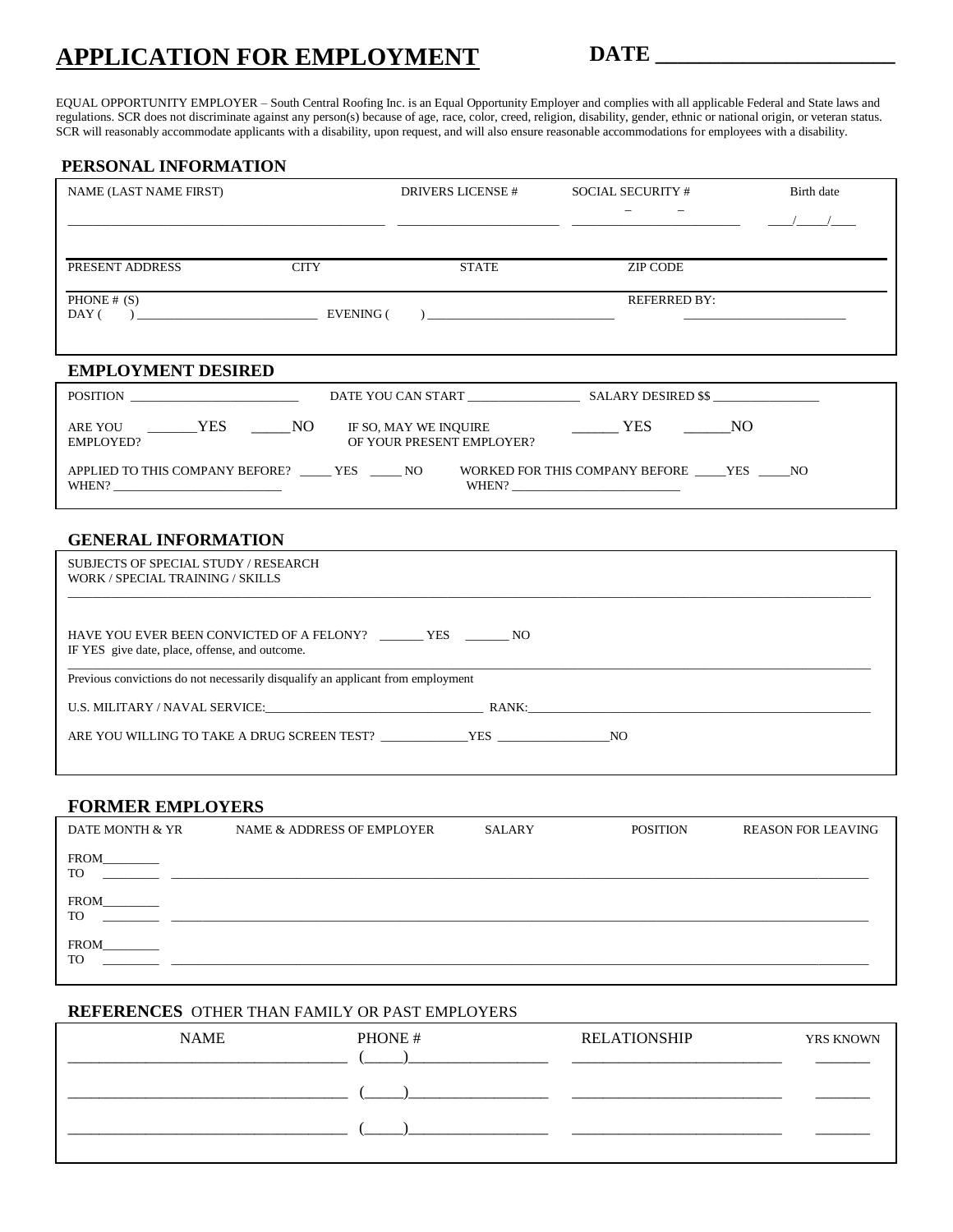# **APPLICATION FOR EMPLOYMENT**

**DATE \_\_\_\_\_\_\_\_\_\_\_\_\_\_\_\_\_\_\_\_\_\_**

EQUAL OPPORTUNITY EMPLOYER – South Central Roofing Inc. is an Equal Opportunity Employer and complies with all applicable Federal and State laws and regulations. SCR does not discriminate against any person(s) because of age, race, color, creed, religion, disability, gender, ethnic or national origin, or veteran status. SCR will reasonably accommodate applicants with a disability, upon request, and will also ensure reasonable accommodations for employees with a disability.

| PERSONAL INFORMATION                                                                                                                                                                                                           |             |                                         |                                                              |            |
|--------------------------------------------------------------------------------------------------------------------------------------------------------------------------------------------------------------------------------|-------------|-----------------------------------------|--------------------------------------------------------------|------------|
| NAME (LAST NAME FIRST)                                                                                                                                                                                                         |             | <b>DRIVERS LICENSE #</b>                | <b>SOCIAL SECURITY #</b>                                     | Birth date |
|                                                                                                                                                                                                                                |             |                                         |                                                              |            |
|                                                                                                                                                                                                                                |             |                                         |                                                              |            |
| PRESENT ADDRESS                                                                                                                                                                                                                | <b>CITY</b> | <b>STATE</b>                            | <b>ZIP CODE</b>                                              |            |
| PHONE $#(S)$                                                                                                                                                                                                                   |             |                                         | <b>REFERRED BY:</b>                                          |            |
| DAY (                                                                                                                                                                                                                          |             | $\begin{array}{c}\n\hline\n\end{array}$ |                                                              |            |
|                                                                                                                                                                                                                                |             |                                         |                                                              |            |
| <b>EMPLOYMENT DESIRED</b>                                                                                                                                                                                                      |             |                                         |                                                              |            |
| POSITION                                                                                                                                                                                                                       |             |                                         |                                                              |            |
| ARE YOU _______YES _____NO                                                                                                                                                                                                     |             | IF SO, MAY WE INQUIRE                   | $\frac{1}{1}$ YES $\frac{1}{1}$ NO                           |            |
| <b>EMPLOYED?</b>                                                                                                                                                                                                               |             | OF YOUR PRESENT EMPLOYER?               |                                                              |            |
| APPLIED TO THIS COMPANY BEFORE? _____ YES _____ NO<br>WHEN?                                                                                                                                                                    |             |                                         | WORKED FOR THIS COMPANY BEFORE ______ YES ______ NO<br>WHEN? |            |
| <b>GENERAL INFORMATION</b>                                                                                                                                                                                                     |             |                                         |                                                              |            |
| <b>SUBJECTS OF SPECIAL STUDY / RESEARCH</b><br>WORK / SPECIAL TRAINING / SKILLS                                                                                                                                                |             |                                         |                                                              |            |
|                                                                                                                                                                                                                                |             |                                         |                                                              |            |
| HAVE YOU EVER BEEN CONVICTED OF A FELONY? _________ YES _________ NO<br>IF YES give date, place, offense, and outcome.                                                                                                         |             |                                         |                                                              |            |
| Previous convictions do not necessarily disqualify an applicant from employment                                                                                                                                                |             |                                         |                                                              |            |
| U.S. MILITARY / NAVAL SERVICE: RANK: RANK: RANK: RANK: RANK: RANK: RANK: RANK: RANK: RANK: RANK: RANK: RANK: RANK: RANK: RANK: RANK: RANK: RANK: RANK: RANK: RANK: RANK: RANK: RANK: RANK: RANK: RANK: RANK: RANK: RANK: RANK: |             |                                         |                                                              |            |
|                                                                                                                                                                                                                                |             |                                         |                                                              |            |
|                                                                                                                                                                                                                                |             |                                         |                                                              |            |
|                                                                                                                                                                                                                                |             |                                         |                                                              |            |
| <b>FORMER EMPLOYERS</b>                                                                                                                                                                                                        |             |                                         |                                                              |            |

| DATE MONTH & YR   | NAME & ADDRESS OF EMPLOYER | SALARY | <b>POSITION</b> | <b>REASON FOR LEAVING</b> |
|-------------------|----------------------------|--------|-----------------|---------------------------|
| FROM<br><b>TO</b> |                            |        |                 |                           |
| FROM<br><b>TO</b> |                            |        |                 |                           |
| FROM<br><b>TO</b> |                            |        |                 |                           |

#### **REFERENCES** OTHER THAN FAMILY OR PAST EMPLOYERS

| <b>NAME</b> | PHONE# | <b>RELATIONSHIP</b> | YRS KNOWN |
|-------------|--------|---------------------|-----------|
|             |        |                     |           |
|             |        |                     |           |